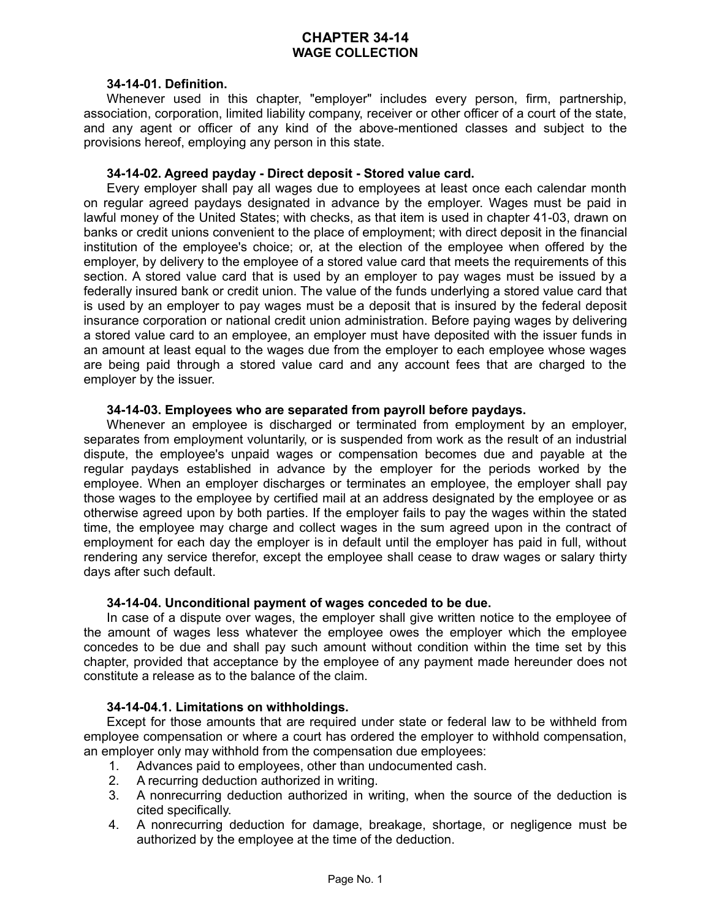# **CHAPTER 34-14 WAGE COLLECTION**

#### **34-14-01. Definition.**

Whenever used in this chapter, "employer" includes every person, firm, partnership, association, corporation, limited liability company, receiver or other officer of a court of the state, and any agent or officer of any kind of the above-mentioned classes and subject to the provisions hereof, employing any person in this state.

#### **34-14-02. Agreed payday - Direct deposit - Stored value card.**

Every employer shall pay all wages due to employees at least once each calendar month on regular agreed paydays designated in advance by the employer. Wages must be paid in lawful money of the United States; with checks, as that item is used in chapter 41-03, drawn on banks or credit unions convenient to the place of employment; with direct deposit in the financial institution of the employee's choice; or, at the election of the employee when offered by the employer, by delivery to the employee of a stored value card that meets the requirements of this section. A stored value card that is used by an employer to pay wages must be issued by a federally insured bank or credit union. The value of the funds underlying a stored value card that is used by an employer to pay wages must be a deposit that is insured by the federal deposit insurance corporation or national credit union administration. Before paying wages by delivering a stored value card to an employee, an employer must have deposited with the issuer funds in an amount at least equal to the wages due from the employer to each employee whose wages are being paid through a stored value card and any account fees that are charged to the employer by the issuer.

#### **34-14-03. Employees who are separated from payroll before paydays.**

Whenever an employee is discharged or terminated from employment by an employer, separates from employment voluntarily, or is suspended from work as the result of an industrial dispute, the employee's unpaid wages or compensation becomes due and payable at the regular paydays established in advance by the employer for the periods worked by the employee. When an employer discharges or terminates an employee, the employer shall pay those wages to the employee by certified mail at an address designated by the employee or as otherwise agreed upon by both parties. If the employer fails to pay the wages within the stated time, the employee may charge and collect wages in the sum agreed upon in the contract of employment for each day the employer is in default until the employer has paid in full, without rendering any service therefor, except the employee shall cease to draw wages or salary thirty days after such default.

# **34-14-04. Unconditional payment of wages conceded to be due.**

In case of a dispute over wages, the employer shall give written notice to the employee of the amount of wages less whatever the employee owes the employer which the employee concedes to be due and shall pay such amount without condition within the time set by this chapter, provided that acceptance by the employee of any payment made hereunder does not constitute a release as to the balance of the claim.

#### **34-14-04.1. Limitations on withholdings.**

Except for those amounts that are required under state or federal law to be withheld from employee compensation or where a court has ordered the employer to withhold compensation, an employer only may withhold from the compensation due employees:

- 1. Advances paid to employees, other than undocumented cash.
- 2. A recurring deduction authorized in writing.
- 3. A nonrecurring deduction authorized in writing, when the source of the deduction is cited specifically.
- 4. A nonrecurring deduction for damage, breakage, shortage, or negligence must be authorized by the employee at the time of the deduction.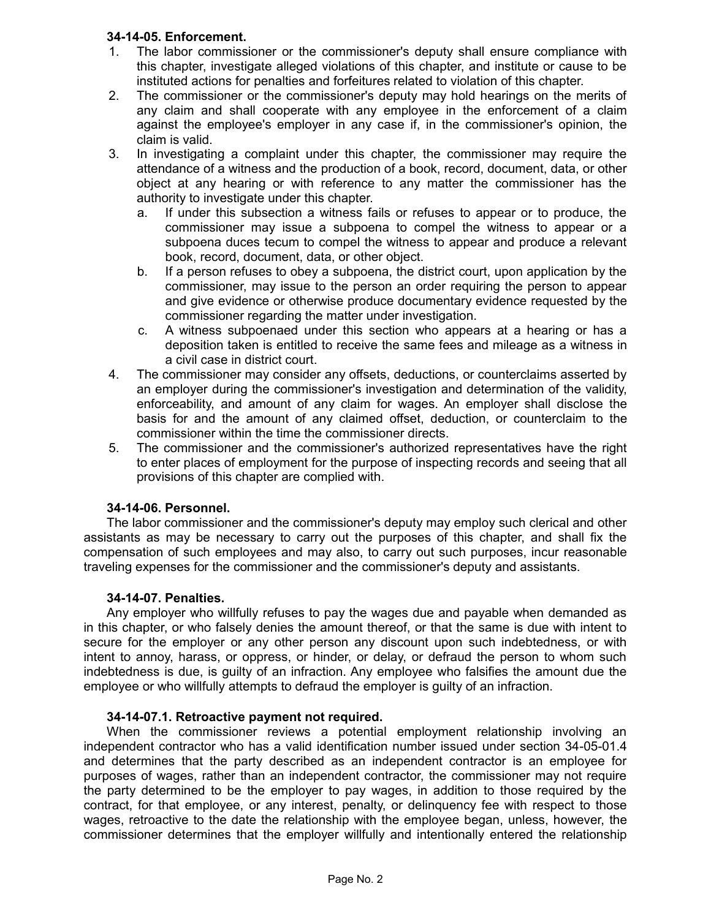# **34-14-05. Enforcement.**

- 1. The labor commissioner or the commissioner's deputy shall ensure compliance with this chapter, investigate alleged violations of this chapter, and institute or cause to be instituted actions for penalties and forfeitures related to violation of this chapter.
- 2. The commissioner or the commissioner's deputy may hold hearings on the merits of any claim and shall cooperate with any employee in the enforcement of a claim against the employee's employer in any case if, in the commissioner's opinion, the claim is valid.
- 3. In investigating a complaint under this chapter, the commissioner may require the attendance of a witness and the production of a book, record, document, data, or other object at any hearing or with reference to any matter the commissioner has the authority to investigate under this chapter.
	- a. If under this subsection a witness fails or refuses to appear or to produce, the commissioner may issue a subpoena to compel the witness to appear or a subpoena duces tecum to compel the witness to appear and produce a relevant book, record, document, data, or other object.
	- b. If a person refuses to obey a subpoena, the district court, upon application by the commissioner, may issue to the person an order requiring the person to appear and give evidence or otherwise produce documentary evidence requested by the commissioner regarding the matter under investigation.
	- c. A witness subpoenaed under this section who appears at a hearing or has a deposition taken is entitled to receive the same fees and mileage as a witness in a civil case in district court.
- 4. The commissioner may consider any offsets, deductions, or counterclaims asserted by an employer during the commissioner's investigation and determination of the validity, enforceability, and amount of any claim for wages. An employer shall disclose the basis for and the amount of any claimed offset, deduction, or counterclaim to the commissioner within the time the commissioner directs.
- 5. The commissioner and the commissioner's authorized representatives have the right to enter places of employment for the purpose of inspecting records and seeing that all provisions of this chapter are complied with.

## **34-14-06. Personnel.**

The labor commissioner and the commissioner's deputy may employ such clerical and other assistants as may be necessary to carry out the purposes of this chapter, and shall fix the compensation of such employees and may also, to carry out such purposes, incur reasonable traveling expenses for the commissioner and the commissioner's deputy and assistants.

## **34-14-07. Penalties.**

Any employer who willfully refuses to pay the wages due and payable when demanded as in this chapter, or who falsely denies the amount thereof, or that the same is due with intent to secure for the employer or any other person any discount upon such indebtedness, or with intent to annoy, harass, or oppress, or hinder, or delay, or defraud the person to whom such indebtedness is due, is guilty of an infraction. Any employee who falsifies the amount due the employee or who willfully attempts to defraud the employer is guilty of an infraction.

## **34-14-07.1. Retroactive payment not required.**

When the commissioner reviews a potential employment relationship involving an independent contractor who has a valid identification number issued under section 34-05-01.4 and determines that the party described as an independent contractor is an employee for purposes of wages, rather than an independent contractor, the commissioner may not require the party determined to be the employer to pay wages, in addition to those required by the contract, for that employee, or any interest, penalty, or delinquency fee with respect to those wages, retroactive to the date the relationship with the employee began, unless, however, the commissioner determines that the employer willfully and intentionally entered the relationship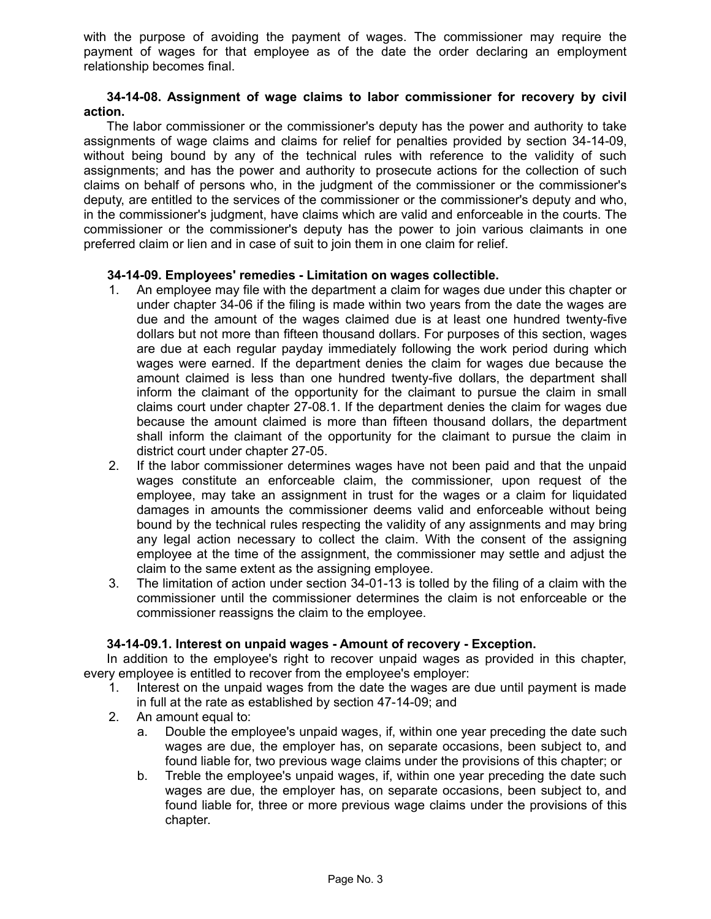with the purpose of avoiding the payment of wages. The commissioner may require the payment of wages for that employee as of the date the order declaring an employment relationship becomes final.

### **34-14-08. Assignment of wage claims to labor commissioner for recovery by civil action.**

The labor commissioner or the commissioner's deputy has the power and authority to take assignments of wage claims and claims for relief for penalties provided by section 34-14-09, without being bound by any of the technical rules with reference to the validity of such assignments; and has the power and authority to prosecute actions for the collection of such claims on behalf of persons who, in the judgment of the commissioner or the commissioner's deputy, are entitled to the services of the commissioner or the commissioner's deputy and who, in the commissioner's judgment, have claims which are valid and enforceable in the courts. The commissioner or the commissioner's deputy has the power to join various claimants in one preferred claim or lien and in case of suit to join them in one claim for relief.

## **34-14-09. Employees' remedies - Limitation on wages collectible.**

- 1. An employee may file with the department a claim for wages due under this chapter or under chapter 34-06 if the filing is made within two years from the date the wages are due and the amount of the wages claimed due is at least one hundred twenty-five dollars but not more than fifteen thousand dollars. For purposes of this section, wages are due at each regular payday immediately following the work period during which wages were earned. If the department denies the claim for wages due because the amount claimed is less than one hundred twenty-five dollars, the department shall inform the claimant of the opportunity for the claimant to pursue the claim in small claims court under chapter 27-08.1. If the department denies the claim for wages due because the amount claimed is more than fifteen thousand dollars, the department shall inform the claimant of the opportunity for the claimant to pursue the claim in district court under chapter 27-05.
- 2. If the labor commissioner determines wages have not been paid and that the unpaid wages constitute an enforceable claim, the commissioner, upon request of the employee, may take an assignment in trust for the wages or a claim for liquidated damages in amounts the commissioner deems valid and enforceable without being bound by the technical rules respecting the validity of any assignments and may bring any legal action necessary to collect the claim. With the consent of the assigning employee at the time of the assignment, the commissioner may settle and adjust the claim to the same extent as the assigning employee.
- 3. The limitation of action under section 34-01-13 is tolled by the filing of a claim with the commissioner until the commissioner determines the claim is not enforceable or the commissioner reassigns the claim to the employee.

## **34-14-09.1. Interest on unpaid wages - Amount of recovery - Exception.**

In addition to the employee's right to recover unpaid wages as provided in this chapter, every employee is entitled to recover from the employee's employer:

- 1. Interest on the unpaid wages from the date the wages are due until payment is made in full at the rate as established by section 47-14-09; and
- 2. An amount equal to:
	- a. Double the employee's unpaid wages, if, within one year preceding the date such wages are due, the employer has, on separate occasions, been subject to, and found liable for, two previous wage claims under the provisions of this chapter; or
	- b. Treble the employee's unpaid wages, if, within one year preceding the date such wages are due, the employer has, on separate occasions, been subject to, and found liable for, three or more previous wage claims under the provisions of this chapter.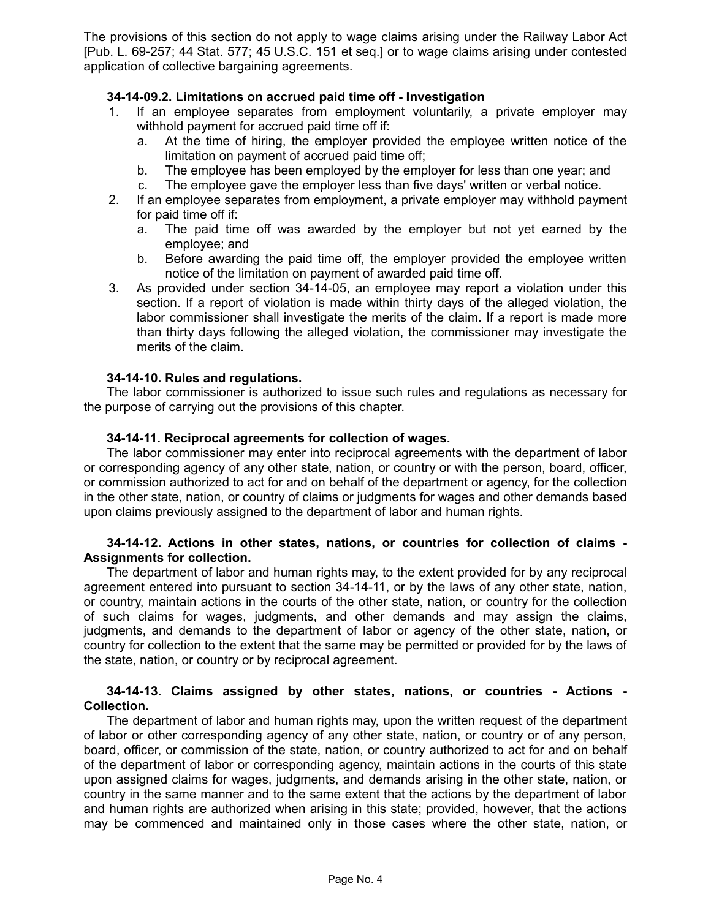The provisions of this section do not apply to wage claims arising under the Railway Labor Act [Pub. L. 69-257; 44 Stat. 577; 45 U.S.C. 151 et seq.] or to wage claims arising under contested application of collective bargaining agreements.

## **34-14-09.2. Limitations on accrued paid time off - Investigation**

- 1. If an employee separates from employment voluntarily, a private employer may withhold payment for accrued paid time off if:
	- a. At the time of hiring, the employer provided the employee written notice of the limitation on payment of accrued paid time off;
	- b. The employee has been employed by the employer for less than one year; and
	- c. The employee gave the employer less than five days' written or verbal notice.
- 2. If an employee separates from employment, a private employer may withhold payment for paid time off if:
	- a. The paid time off was awarded by the employer but not yet earned by the employee; and
	- b. Before awarding the paid time off, the employer provided the employee written notice of the limitation on payment of awarded paid time off.
- 3. As provided under section 34-14-05, an employee may report a violation under this section. If a report of violation is made within thirty days of the alleged violation, the labor commissioner shall investigate the merits of the claim. If a report is made more than thirty days following the alleged violation, the commissioner may investigate the merits of the claim.

#### **34-14-10. Rules and regulations.**

The labor commissioner is authorized to issue such rules and regulations as necessary for the purpose of carrying out the provisions of this chapter.

#### **34-14-11. Reciprocal agreements for collection of wages.**

The labor commissioner may enter into reciprocal agreements with the department of labor or corresponding agency of any other state, nation, or country or with the person, board, officer, or commission authorized to act for and on behalf of the department or agency, for the collection in the other state, nation, or country of claims or judgments for wages and other demands based upon claims previously assigned to the department of labor and human rights.

#### **34-14-12. Actions in other states, nations, or countries for collection of claims - Assignments for collection.**

The department of labor and human rights may, to the extent provided for by any reciprocal agreement entered into pursuant to section 34-14-11, or by the laws of any other state, nation, or country, maintain actions in the courts of the other state, nation, or country for the collection of such claims for wages, judgments, and other demands and may assign the claims, judgments, and demands to the department of labor or agency of the other state, nation, or country for collection to the extent that the same may be permitted or provided for by the laws of the state, nation, or country or by reciprocal agreement.

## **34-14-13. Claims assigned by other states, nations, or countries - Actions - Collection.**

The department of labor and human rights may, upon the written request of the department of labor or other corresponding agency of any other state, nation, or country or of any person, board, officer, or commission of the state, nation, or country authorized to act for and on behalf of the department of labor or corresponding agency, maintain actions in the courts of this state upon assigned claims for wages, judgments, and demands arising in the other state, nation, or country in the same manner and to the same extent that the actions by the department of labor and human rights are authorized when arising in this state; provided, however, that the actions may be commenced and maintained only in those cases where the other state, nation, or